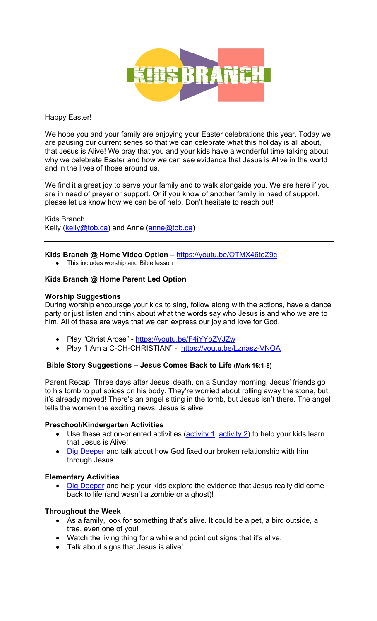

## Happy Easter!

We hope you and your family are enjoying your Easter celebrations this year. Today we are pausing our current series so that we can celebrate what this holiday is all about, that Jesus is Alive! We pray that you and your kids have a wonderful time talking about why we celebrate Easter and how we can see evidence that Jesus is Alive in the world and in the lives of those around us.

We find it a great joy to serve your family and to walk alongside you. We are here if you are in need of prayer or support. Or if you know of another family in need of support, please let us know how we can be of help. Don't hesitate to reach out!

Kids Branch Kelly (kelly@tob.ca) and Anne (anne@tob.ca)

### **Kids Branch @ Home Video Option –** https://youtu.be/OTMX46teZ9c

• This includes worship and Bible lesson

## **Kids Branch @ Home Parent Led Option**

#### **Worship Suggestions**

During worship encourage your kids to sing, follow along with the actions, have a dance party or just listen and think about what the words say who Jesus is and who we are to him. All of these are ways that we can express our joy and love for God.

- Play "Christ Arose" https://youtu.be/F4iYYoZVJZw
- Play "I Am a C-CH-CHRISTIAN" https://youtu.be/Lznasz-VNOA

## **Bible Story Suggestions – Jesus Comes Back to Life (Mark 16:1-8)**

Parent Recap: Three days after Jesus' death, on a Sunday morning, Jesus' friends go to his tomb to put spices on his body. They're worried about rolling away the stone, but it's already moved! There's an angel sitting in the tomb, but Jesus isn't there. The angel tells the women the exciting news: Jesus is alive!

#### **Preschool/Kindergarten Activities**

- Use these action-oriented activities  $(activity 1, activity 2)$  to help your kids learn that Jesus is Alive!
- Dig Deeper and talk about how God fixed our broken relationship with him through Jesus.

#### **Elementary Activities**

Dig Deeper and help your kids explore the evidence that Jesus really did come back to life (and wasn't a zombie or a ghost)!

## **Throughout the Week**

- As a family, look for something that's alive. It could be a pet, a bird outside, a tree, even one of you!
- Watch the living thing for a while and point out signs that it's alive.
- Talk about signs that Jesus is alive!